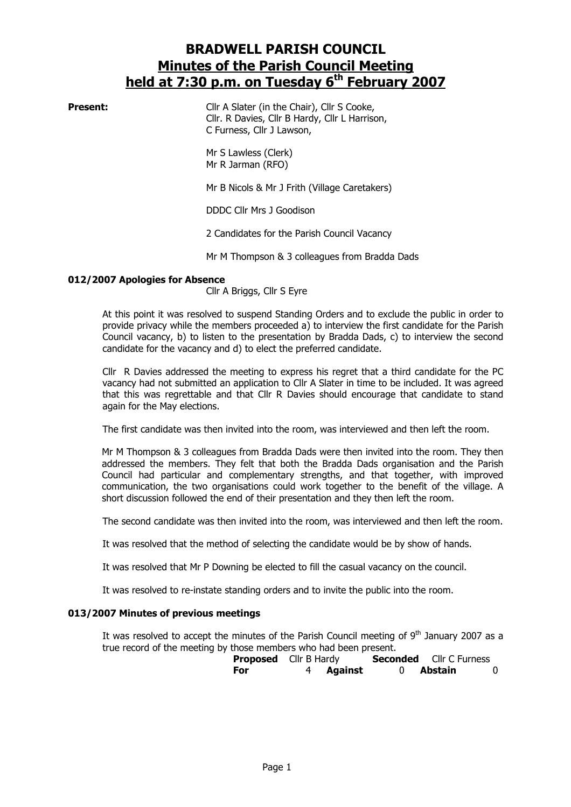# BRADWELL PARISH COUNCIL Minutes of the Parish Council Meeting held at 7:30 p.m. on Tuesday 6<sup>th</sup> February 2007

**Present:** Cllr A Slater (in the Chair), Cllr S Cooke, Cllr. R Davies, Cllr B Hardy, Cllr L Harrison, C Furness, Cllr J Lawson,

> Mr S Lawless (Clerk) Mr R Jarman (RFO)

Mr B Nicols & Mr J Frith (Village Caretakers)

DDDC Cllr Mrs J Goodison

2 Candidates for the Parish Council Vacancy

Mr M Thompson & 3 colleagues from Bradda Dads

#### 012/2007 Apologies for Absence

Cllr A Briggs, Cllr S Eyre

At this point it was resolved to suspend Standing Orders and to exclude the public in order to provide privacy while the members proceeded a) to interview the first candidate for the Parish Council vacancy, b) to listen to the presentation by Bradda Dads, c) to interview the second candidate for the vacancy and d) to elect the preferred candidate.

Cllr R Davies addressed the meeting to express his regret that a third candidate for the PC vacancy had not submitted an application to Cllr A Slater in time to be included. It was agreed that this was regrettable and that Cllr R Davies should encourage that candidate to stand again for the May elections.

The first candidate was then invited into the room, was interviewed and then left the room.

Mr M Thompson & 3 colleagues from Bradda Dads were then invited into the room. They then addressed the members. They felt that both the Bradda Dads organisation and the Parish Council had particular and complementary strengths, and that together, with improved communication, the two organisations could work together to the benefit of the village. A short discussion followed the end of their presentation and they then left the room.

The second candidate was then invited into the room, was interviewed and then left the room.

It was resolved that the method of selecting the candidate would be by show of hands.

It was resolved that Mr P Downing be elected to fill the casual vacancy on the council.

It was resolved to re-instate standing orders and to invite the public into the room.

#### 013/2007 Minutes of previous meetings

It was resolved to accept the minutes of the Parish Council meeting of  $9<sup>th</sup>$  January 2007 as a true record of the meeting by those members who had been present.

|     | <b>Proposed</b> Cllr B Hardy |                  | <b>Seconded</b> Cllr C Furness |          |
|-----|------------------------------|------------------|--------------------------------|----------|
| For |                              | 4 <b>Against</b> | 0 Abstain                      | $\Omega$ |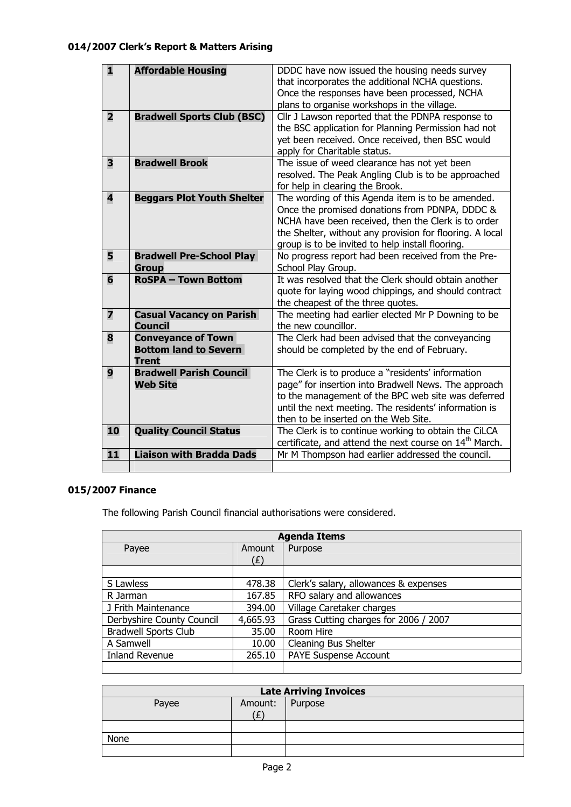| 1                       | <b>Affordable Housing</b>                                                 | DDDC have now issued the housing needs survey<br>that incorporates the additional NCHA questions.<br>Once the responses have been processed, NCHA<br>plans to organise workshops in the village.                                                                           |
|-------------------------|---------------------------------------------------------------------------|----------------------------------------------------------------------------------------------------------------------------------------------------------------------------------------------------------------------------------------------------------------------------|
| $\overline{\mathbf{2}}$ | <b>Bradwell Sports Club (BSC)</b>                                         | Cllr J Lawson reported that the PDNPA response to<br>the BSC application for Planning Permission had not<br>yet been received. Once received, then BSC would<br>apply for Charitable status.                                                                               |
| 3                       | <b>Bradwell Brook</b>                                                     | The issue of weed clearance has not yet been<br>resolved. The Peak Angling Club is to be approached<br>for help in clearing the Brook.                                                                                                                                     |
| $\overline{\mathbf{4}}$ | <b>Beggars Plot Youth Shelter</b>                                         | The wording of this Agenda item is to be amended.<br>Once the promised donations from PDNPA, DDDC &<br>NCHA have been received, then the Clerk is to order<br>the Shelter, without any provision for flooring. A local<br>group is to be invited to help install flooring. |
| 5                       | <b>Bradwell Pre-School Play</b><br><b>Group</b>                           | No progress report had been received from the Pre-<br>School Play Group.                                                                                                                                                                                                   |
| $6\phantom{1}$          | <b>RoSPA - Town Bottom</b>                                                | It was resolved that the Clerk should obtain another<br>quote for laying wood chippings, and should contract<br>the cheapest of the three quotes.                                                                                                                          |
| $\overline{z}$          | <b>Casual Vacancy on Parish</b><br><b>Council</b>                         | The meeting had earlier elected Mr P Downing to be<br>the new councillor.                                                                                                                                                                                                  |
| 8                       | <b>Conveyance of Town</b><br><b>Bottom land to Severn</b><br><b>Trent</b> | The Clerk had been advised that the conveyancing<br>should be completed by the end of February.                                                                                                                                                                            |
| 9                       | <b>Bradwell Parish Council</b><br><b>Web Site</b>                         | The Clerk is to produce a "residents' information<br>page" for insertion into Bradwell News. The approach<br>to the management of the BPC web site was deferred<br>until the next meeting. The residents' information is<br>then to be inserted on the Web Site.           |
| 10                      | <b>Quality Council Status</b>                                             | The Clerk is to continue working to obtain the CiLCA<br>certificate, and attend the next course on 14 <sup>th</sup> March.                                                                                                                                                 |
| 11                      | <b>Liaison with Bradda Dads</b>                                           | Mr M Thompson had earlier addressed the council.                                                                                                                                                                                                                           |
|                         |                                                                           |                                                                                                                                                                                                                                                                            |

# 015/2007 Finance

The following Parish Council financial authorisations were considered.

| <b>Agenda Items</b>         |          |                                       |  |
|-----------------------------|----------|---------------------------------------|--|
| Payee                       | Amount   | Purpose                               |  |
|                             | (E)      |                                       |  |
|                             |          |                                       |  |
| S Lawless                   | 478.38   | Clerk's salary, allowances & expenses |  |
| 167.85<br>R Jarman          |          | RFO salary and allowances             |  |
| J Frith Maintenance         | 394.00   | Village Caretaker charges             |  |
| Derbyshire County Council   | 4,665.93 | Grass Cutting charges for 2006 / 2007 |  |
| <b>Bradwell Sports Club</b> | 35.00    | Room Hire                             |  |
| A Samwell<br>10.00          |          | Cleaning Bus Shelter                  |  |
| Inland Revenue<br>265.10    |          | <b>PAYE Suspense Account</b>          |  |
|                             |          |                                       |  |

| <b>Late Arriving Invoices</b> |                 |  |  |
|-------------------------------|-----------------|--|--|
| Payee                         | Amount: Purpose |  |  |
|                               | (E)             |  |  |
|                               |                 |  |  |
| None                          |                 |  |  |
|                               |                 |  |  |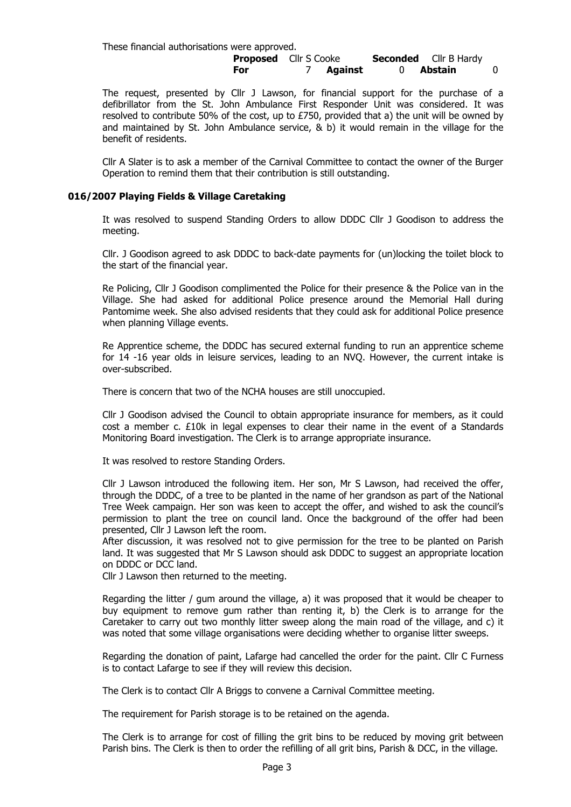These financial authorisations were approved. **Proposed** Cllr S Cooke **Seconded** Cllr B Hardy For 7 Against 0 Abstain 0

The request, presented by Cllr J Lawson, for financial support for the purchase of a defibrillator from the St. John Ambulance First Responder Unit was considered. It was resolved to contribute 50% of the cost, up to £750, provided that a) the unit will be owned by and maintained by St. John Ambulance service,  $\&$  b) it would remain in the village for the benefit of residents.

Cllr A Slater is to ask a member of the Carnival Committee to contact the owner of the Burger Operation to remind them that their contribution is still outstanding.

#### 016/2007 Playing Fields & Village Caretaking

It was resolved to suspend Standing Orders to allow DDDC Cllr J Goodison to address the meeting.

Cllr. J Goodison agreed to ask DDDC to back-date payments for (un)locking the toilet block to the start of the financial year.

Re Policing, Cllr J Goodison complimented the Police for their presence & the Police van in the Village. She had asked for additional Police presence around the Memorial Hall during Pantomime week. She also advised residents that they could ask for additional Police presence when planning Village events.

Re Apprentice scheme, the DDDC has secured external funding to run an apprentice scheme for 14 -16 year olds in leisure services, leading to an NVQ. However, the current intake is over-subscribed.

There is concern that two of the NCHA houses are still unoccupied.

Cllr J Goodison advised the Council to obtain appropriate insurance for members, as it could cost a member c. £10k in legal expenses to clear their name in the event of a Standards Monitoring Board investigation. The Clerk is to arrange appropriate insurance.

It was resolved to restore Standing Orders.

Cllr J Lawson introduced the following item. Her son, Mr S Lawson, had received the offer, through the DDDC, of a tree to be planted in the name of her grandson as part of the National Tree Week campaign. Her son was keen to accept the offer, and wished to ask the council's permission to plant the tree on council land. Once the background of the offer had been presented, Cllr J Lawson left the room.

After discussion, it was resolved not to give permission for the tree to be planted on Parish land. It was suggested that Mr S Lawson should ask DDDC to suggest an appropriate location on DDDC or DCC land.

Cllr J Lawson then returned to the meeting.

Regarding the litter / gum around the village, a) it was proposed that it would be cheaper to buy equipment to remove gum rather than renting it, b) the Clerk is to arrange for the Caretaker to carry out two monthly litter sweep along the main road of the village, and c) it was noted that some village organisations were deciding whether to organise litter sweeps.

Regarding the donation of paint, Lafarge had cancelled the order for the paint. Cllr C Furness is to contact Lafarge to see if they will review this decision.

The Clerk is to contact Cllr A Briggs to convene a Carnival Committee meeting.

The requirement for Parish storage is to be retained on the agenda.

The Clerk is to arrange for cost of filling the grit bins to be reduced by moving grit between Parish bins. The Clerk is then to order the refilling of all grit bins, Parish & DCC, in the village.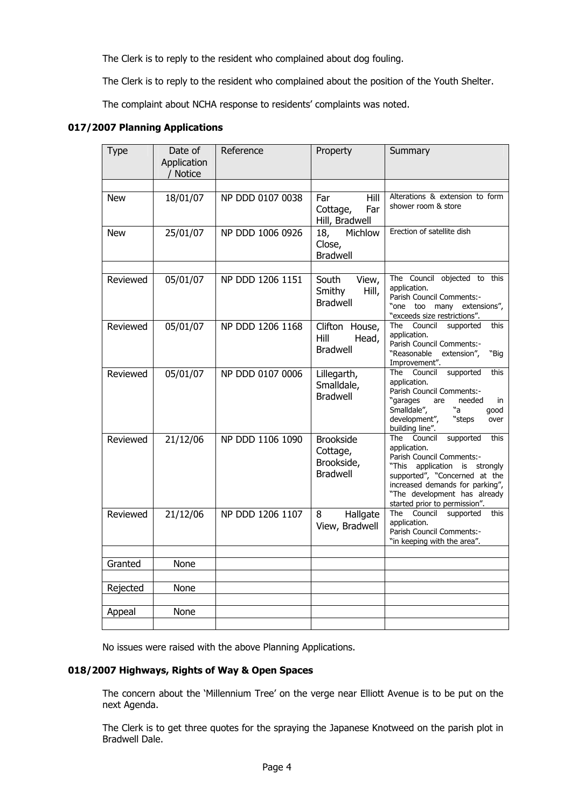The Clerk is to reply to the resident who complained about dog fouling.

The Clerk is to reply to the resident who complained about the position of the Youth Shelter.

The complaint about NCHA response to residents' complaints was noted.

#### 017/2007 Planning Applications

| <b>Type</b> | Date of<br>Application<br>/ Notice | Reference        | Property                                                      | Summary                                                                                                                                                                                                                                                |
|-------------|------------------------------------|------------------|---------------------------------------------------------------|--------------------------------------------------------------------------------------------------------------------------------------------------------------------------------------------------------------------------------------------------------|
| <b>New</b>  | 18/01/07                           | NP DDD 0107 0038 | Hill<br>Far<br>Cottage,<br>Far<br>Hill, Bradwell              | Alterations & extension to form<br>shower room & store                                                                                                                                                                                                 |
| New         | 25/01/07                           | NP DDD 1006 0926 | Michlow<br>18,<br>Close,<br><b>Bradwell</b>                   | Erection of satellite dish                                                                                                                                                                                                                             |
| Reviewed    | 05/01/07                           | NP DDD 1206 1151 | South<br>View,<br>Smithy<br>Hill,<br><b>Bradwell</b>          | The Council objected to this<br>application.<br>Parish Council Comments:-<br>"one too many extensions",<br>"exceeds size restrictions".                                                                                                                |
| Reviewed    | 05/01/07                           | NP DDD 1206 1168 | Clifton House,<br>Hill<br>Head,<br><b>Bradwell</b>            | Council<br>The<br>supported<br>this<br>application.<br>Parish Council Comments:-<br>"Reasonable<br>extension",<br>"Big<br>Improvement".                                                                                                                |
| Reviewed    | $\overline{05}/01/07$              | NP DDD 0107 0006 | Lillegarth,<br>Smalldale,<br><b>Bradwell</b>                  | The Council supported<br>this<br>application.<br>Parish Council Comments:-<br>"garages<br>needed<br>are<br>in<br>Smalldale",<br>"а<br>qood<br>development",<br>"steps<br>over<br>building line".                                                       |
| Reviewed    | 21/12/06                           | NP DDD 1106 1090 | <b>Brookside</b><br>Cottage,<br>Brookside,<br><b>Bradwell</b> | supported<br>The Council<br>this<br>application.<br>Parish Council Comments:-<br>application is strongly<br>"This<br>supported", "Concerned at the<br>increased demands for parking",<br>"The development has already<br>started prior to permission". |
| Reviewed    | 21/12/06                           | NP DDD 1206 1107 | Hallgate<br>8<br>View, Bradwell                               | The Council<br>supported<br>this<br>application.<br>Parish Council Comments:-<br>"in keeping with the area".                                                                                                                                           |
| Granted     | None                               |                  |                                                               |                                                                                                                                                                                                                                                        |
|             |                                    |                  |                                                               |                                                                                                                                                                                                                                                        |
| Rejected    | None                               |                  |                                                               |                                                                                                                                                                                                                                                        |
| Appeal      | None                               |                  |                                                               |                                                                                                                                                                                                                                                        |

No issues were raised with the above Planning Applications.

#### 018/2007 Highways, Rights of Way & Open Spaces

The concern about the 'Millennium Tree' on the verge near Elliott Avenue is to be put on the next Agenda.

The Clerk is to get three quotes for the spraying the Japanese Knotweed on the parish plot in Bradwell Dale.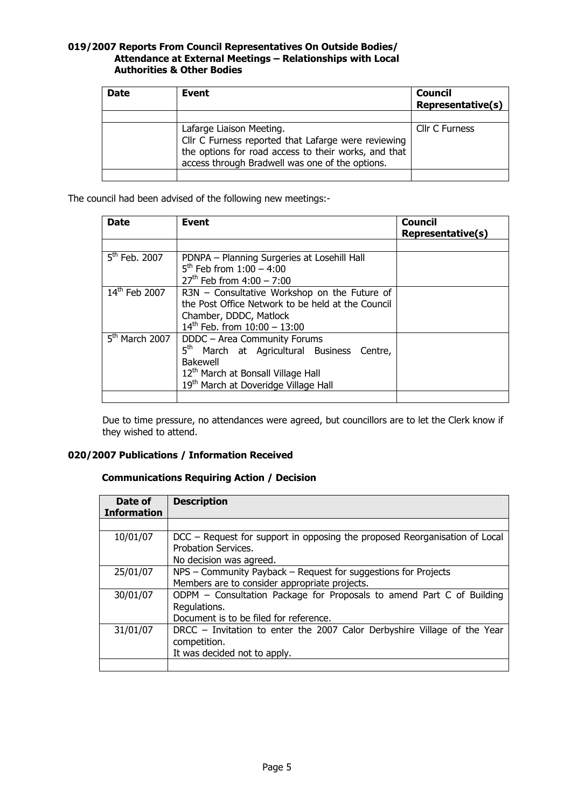#### 019/2007 Reports From Council Representatives On Outside Bodies/ Attendance at External Meetings – Relationships with Local Authorities & Other Bodies

| <b>Date</b> | Event                                                                                                                                                                                      | <b>Council</b><br><b>Representative(s)</b> |
|-------------|--------------------------------------------------------------------------------------------------------------------------------------------------------------------------------------------|--------------------------------------------|
|             |                                                                                                                                                                                            |                                            |
|             | Lafarge Liaison Meeting.<br>Cllr C Furness reported that Lafarge were reviewing<br>the options for road access to their works, and that<br>access through Bradwell was one of the options. | Cllr C Furness                             |
|             |                                                                                                                                                                                            |                                            |

The council had been advised of the following new meetings:-

| Date               | Event                                                                                                                                                                                        | <b>Council</b><br>Representative(s) |
|--------------------|----------------------------------------------------------------------------------------------------------------------------------------------------------------------------------------------|-------------------------------------|
|                    |                                                                                                                                                                                              |                                     |
| $5th$ Feb. 2007    | PDNPA - Planning Surgeries at Losehill Hall<br>$5^{th}$ Feb from $1:00 - 4:00$<br>$27^{th}$ Feb from 4:00 - 7:00                                                                             |                                     |
| $14^{th}$ Feb 2007 | R3N - Consultative Workshop on the Future of<br>the Post Office Network to be held at the Council<br>Chamber, DDDC, Matlock<br>$14^{th}$ Feb. from $10:00 - 13:00$                           |                                     |
| $5th$ March 2007   | DDDC - Area Community Forums<br>5 <sup>th</sup> March at Agricultural Business Centre,<br>Bakewell<br>12th March at Bonsall Village Hall<br>19 <sup>th</sup> March at Doveridge Village Hall |                                     |

Due to time pressure, no attendances were agreed, but councillors are to let the Clerk know if they wished to attend.

#### 020/2007 Publications / Information Received

## Communications Requiring Action / Decision

| Date of<br><b>Information</b> | <b>Description</b>                                                                                                              |
|-------------------------------|---------------------------------------------------------------------------------------------------------------------------------|
|                               |                                                                                                                                 |
| 10/01/07                      | DCC – Request for support in opposing the proposed Reorganisation of Local<br>Probation Services.<br>No decision was agreed.    |
| 25/01/07                      | NPS - Community Payback - Request for suggestions for Projects<br>Members are to consider appropriate projects.                 |
| 30/01/07                      | ODPM - Consultation Package for Proposals to amend Part C of Building<br>Regulations.<br>Document is to be filed for reference. |
| 31/01/07                      | DRCC – Invitation to enter the 2007 Calor Derbyshire Village of the Year<br>competition.<br>It was decided not to apply.        |
|                               |                                                                                                                                 |